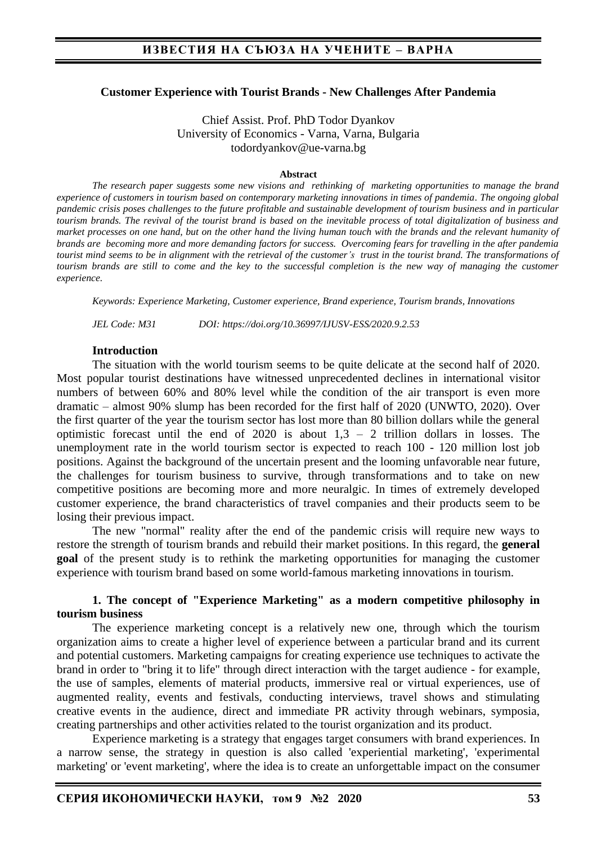#### **Customer Experience with Tourist Brands - New Challenges After Pandemia**

Chief Assist. Prof. PhD Todor Dyankov University of Economics - Varna, Varna, Bulgaria todordyankov@ue-varna.bg

#### **Abstract**

*The research paper suggests some new visions and rethinking of marketing opportunities to manage the brand experience of customers in tourism based on contemporary marketing innovations in times of pandemia. The ongoing global pandemic crisis poses challenges to the future profitable and sustainable development of tourism business and in particular tourism brands. The revival of the tourist brand is based on the inevitable process of total digitalization of business and market processes on one hand, but on the other hand the living human touch with the brands and the relevant humanity of brands are becoming more and more demanding factors for success. Overcoming fears for travelling in the after pandemia tourist mind seems to be in alignment with the retrieval of the customer's trust in the tourist brand. The transformations of tourism brands are still to come and the key to the successful completion is the new way of managing the customer experience.*

*Keywords: Experience Marketing, Customer experience, Brand experience, Tourism brands, Innovations*

*JEL Code: M31 DOI: https://doi.org/10.36997/IJUSV-ESS/2020.9.2.53*

#### **Introduction**

The situation with the world tourism seems to be quite delicate at the second half of 2020. Most popular tourist destinations have witnessed unprecedented declines in international visitor numbers of between 60% and 80% level while the condition of the air transport is even more dramatic – almost 90% slump has been recorded for the first half of 2020 (UNWTO, 2020). Over the first quarter of the year the tourism sector has lost more than 80 billion dollars while the general optimistic forecast until the end of  $2020$  is about  $1.3 - 2$  trillion dollars in losses. The unemployment rate in the world tourism sector is expected to reach 100 - 120 million lost job positions. Against the background of the uncertain present and the looming unfavorable near future, the challenges for tourism business to survive, through transformations and to take on new competitive positions are becoming more and more neuralgic. In times of extremely developed customer experience, the brand characteristics of travel companies and their products seem to be losing their previous impact.

The new "normal" reality after the end of the pandemic crisis will require new ways to restore the strength of tourism brands and rebuild their market positions. In this regard, the **general goal** of the present study is to rethink the marketing opportunities for managing the customer experience with tourism brand based on some world-famous marketing innovations in tourism.

### **1. The concept of "Experience Marketing" as a modern competitive philosophy in tourism business**

The experience marketing concept is a relatively new one, through which the tourism organization aims to create a higher level of experience between a particular brand and its current and potential customers. Marketing campaigns for creating experience use techniques to activate the brand in order to "bring it to life" through direct interaction with the target audience - for example, the use of samples, elements of material products, immersive real or virtual experiences, use of augmented reality, events and festivals, conducting interviews, travel shows and stimulating creative events in the audience, direct and immediate PR activity through webinars, symposia, creating partnerships and other activities related to the tourist organization and its product.

Experience marketing is a strategy that engages target consumers with brand experiences. In a narrow sense, the strategy in question is also called 'experiential marketing', 'experimental marketing' or 'event marketing', where the idea is to create an unforgettable impact on the consumer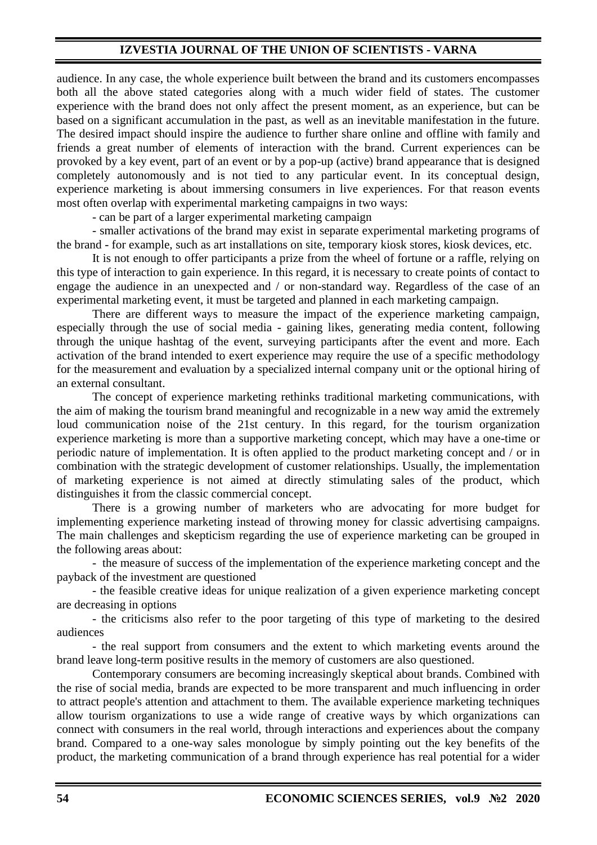## **IZVESTIA JOURNAL OF THE UNION OF SCIENTISTS - VARNA**

audience. In any case, the whole experience built between the brand and its customers encompasses both all the above stated categories along with a much wider field of states. The customer experience with the brand does not only affect the present moment, as an experience, but can be based on a significant accumulation in the past, as well as an inevitable manifestation in the future. The desired impact should inspire the audience to further share online and offline with family and friends a great number of elements of interaction with the brand. Current experiences can be provoked by a key event, part of an event or by a pop-up (active) brand appearance that is designed completely autonomously and is not tied to any particular event. In its conceptual design, experience marketing is about immersing consumers in live experiences. For that reason events most often overlap with experimental marketing campaigns in two ways:

- can be part of a larger experimental marketing campaign

- smaller activations of the brand may exist in separate experimental marketing programs of the brand - for example, such as art installations on site, temporary kiosk stores, kiosk devices, etc.

It is not enough to offer participants a prize from the wheel of fortune or a raffle, relying on this type of interaction to gain experience. In this regard, it is necessary to create points of contact to engage the audience in an unexpected and / or non-standard way. Regardless of the case of an experimental marketing event, it must be targeted and planned in each marketing campaign.

There are different ways to measure the impact of the experience marketing campaign, especially through the use of social media - gaining likes, generating media content, following through the unique hashtag of the event, surveying participants after the event and more. Each activation of the brand intended to exert experience may require the use of a specific methodology for the measurement and evaluation by a specialized internal company unit or the optional hiring of an external consultant.

The concept of experience marketing rethinks traditional marketing communications, with the aim of making the tourism brand meaningful and recognizable in a new way amid the extremely loud communication noise of the 21st century. In this regard, for the tourism organization experience marketing is more than a supportive marketing concept, which may have a one-time or periodic nature of implementation. It is often applied to the product marketing concept and / or in combination with the strategic development of customer relationships. Usually, the implementation of marketing experience is not aimed at directly stimulating sales of the product, which distinguishes it from the classic commercial concept.

There is a growing number of marketers who are advocating for more budget for implementing experience marketing instead of throwing money for classic advertising campaigns. The main challenges and skepticism regarding the use of experience marketing can be grouped in the following areas about:

- the measure of success of the implementation of the experience marketing concept and the payback of the investment are questioned

- the feasible creative ideas for unique realization of a given experience marketing concept are decreasing in options

- the criticisms also refer to the poor targeting of this type of marketing to the desired audiences

- the real support from consumers and the extent to which marketing events around the brand leave long-term positive results in the memory of customers are also questioned.

Contemporary consumers are becoming increasingly skeptical about brands. Combined with the rise of social media, brands are expected to be more transparent and much influencing in order to attract people's attention and attachment to them. The available experience marketing techniques allow tourism organizations to use a wide range of creative ways by which organizations can connect with consumers in the real world, through interactions and experiences about the company brand. Compared to a one-way sales monologue by simply pointing out the key benefits of the product, the marketing communication of a brand through experience has real potential for a wider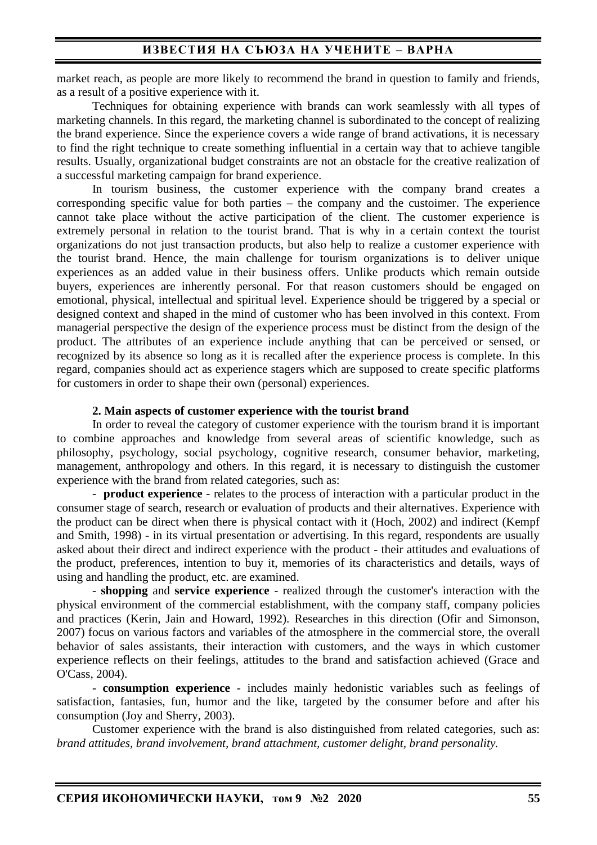market reach, as people are more likely to recommend the brand in question to family and friends, as a result of a positive experience with it.

Techniques for obtaining experience with brands can work seamlessly with all types of marketing channels. In this regard, the marketing channel is subordinated to the concept of realizing the brand experience. Since the experience covers a wide range of brand activations, it is necessary to find the right technique to create something influential in a certain way that to achieve tangible results. Usually, organizational budget constraints are not an obstacle for the creative realization of a successful marketing campaign for brand experience.

In tourism business, the customer experience with the company brand creates a corresponding specific value for both parties – the company and the custoimer. The experience cannot take place without the active participation of the client. The customer experience is extremely personal in relation to the tourist brand. That is why in a certain context the tourist organizations do not just transaction products, but also help to realize a customer experience with the tourist brand. Hence, the main challenge for tourism organizations is to deliver unique experiences as an added value in their business offers. Unlike products which remain outside buyers, experiences are inherently personal. For that reason customers should be engaged on emotional, physical, intellectual and spiritual level. Experience should be triggered by a special or designed context and shaped in the mind of customer who has been involved in this context. From managerial perspective the design of the experience process must be distinct from the design of the product. The attributes of an experience include anything that can be perceived or sensed, or recognized by its absence so long as it is recalled after the experience process is complete. In this regard, companies should act as experience stagers which are supposed to create specific platforms for customers in order to shape their own (personal) experiences.

### **2. Main aspects of customer experience with the tourist brand**

In order to reveal the category of customer experience with the tourism brand it is important to combine approaches and knowledge from several areas of scientific knowledge, such as philosophy, psychology, social psychology, cognitive research, consumer behavior, marketing, management, anthropology and others. In this regard, it is necessary to distinguish the customer experience with the brand from related categories, such as:

- **product experience** - relates to the process of interaction with a particular product in the consumer stage of search, research or evaluation of products and their alternatives. Experience with the product can be direct when there is physical contact with it (Hoch, 2002) and indirect (Kempf and Smith, 1998) - in its virtual presentation or advertising. In this regard, respondents are usually asked about their direct and indirect experience with the product - their attitudes and evaluations of the product, preferences, intention to buy it, memories of its characteristics and details, ways of using and handling the product, etc. are examined.

- **shopping** and **service experience** - realized through the customer's interaction with the physical environment of the commercial establishment, with the company staff, company policies and practices (Kerin, Jain and Howard, 1992). Researches in this direction (Ofir and Simonson, 2007) focus on various factors and variables of the atmosphere in the commercial store, the overall behavior of sales assistants, their interaction with customers, and the ways in which customer experience reflects on their feelings, attitudes to the brand and satisfaction achieved (Grace and O'Cass, 2004).

- **consumption experience** - includes mainly hedonistic variables such as feelings of satisfaction, fantasies, fun, humor and the like, targeted by the consumer before and after his consumption (Joy and Sherry, 2003).

Customer experience with the brand is also distinguished from related categories, such as: *brand attitudes, brand involvement, brand attachment, customer delight, brand personality.*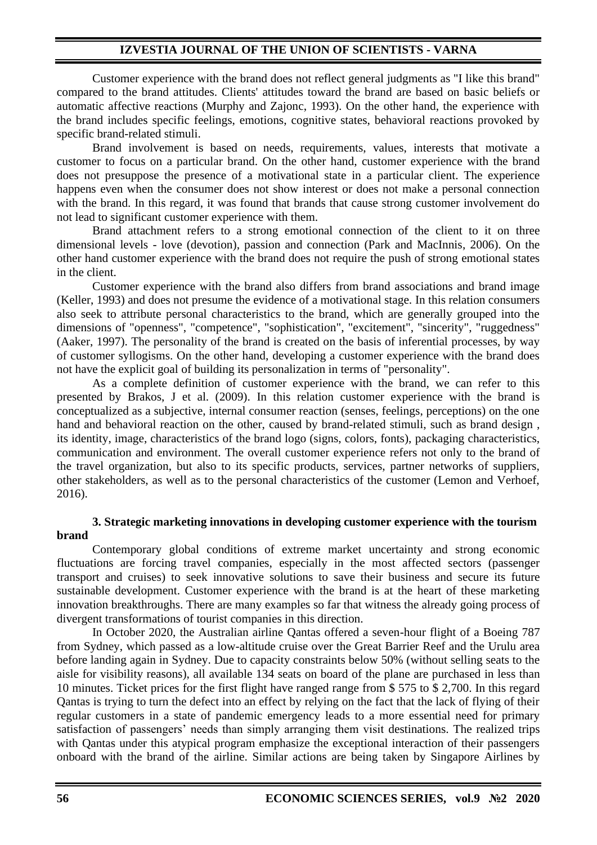## **IZVESTIA JOURNAL OF THE UNION OF SCIENTISTS - VARNA**

Customer experience with the brand does not reflect general judgments as "I like this brand" compared to the brand attitudes. Clients' attitudes toward the brand are based on basic beliefs or automatic affective reactions (Murphy and Zajonc, 1993). On the other hand, the experience with the brand includes specific feelings, emotions, cognitive states, behavioral reactions provoked by specific brand-related stimuli.

Brand involvement is based on needs, requirements, values, interests that motivate a customer to focus on a particular brand. On the other hand, customer experience with the brand does not presuppose the presence of a motivational state in a particular client. The experience happens even when the consumer does not show interest or does not make a personal connection with the brand. In this regard, it was found that brands that cause strong customer involvement do not lead to significant customer experience with them.

Brand attachment refers to a strong emotional connection of the client to it on three dimensional levels - love (devotion), passion and connection (Park and MacInnis, 2006). On the other hand customer experience with the brand does not require the push of strong emotional states in the client.

Customer experience with the brand also differs from brand associations and brand image (Keller, 1993) and does not presume the evidence of a motivational stage. In this relation consumers also seek to attribute personal characteristics to the brand, which are generally grouped into the dimensions of "openness", "competence", "sophistication", "excitement", "sincerity", "ruggedness" (Aaker, 1997). The personality of the brand is created on the basis of inferential processes, by way of customer syllogisms. On the other hand, developing a customer experience with the brand does not have the explicit goal of building its personalization in terms of "personality".

As a complete definition of customer experience with the brand, we can refer to this presented by Brakos, J et al. (2009). In this relation customer experience with the brand is conceptualized as a subjective, internal consumer reaction (senses, feelings, perceptions) on the one hand and behavioral reaction on the other, caused by brand-related stimuli, such as brand design , its identity, image, characteristics of the brand logo (signs, colors, fonts), packaging characteristics, communication and environment. The overall customer experience refers not only to the brand of the travel organization, but also to its specific products, services, partner networks of suppliers, other stakeholders, as well as to the personal characteristics of the customer (Lemon and Verhoef, 2016).

## **3. Strategic marketing innovations in developing customer experience with the tourism brand**

Contemporary global conditions of extreme market uncertainty and strong economic fluctuations are forcing travel companies, especially in the most affected sectors (passenger transport and cruises) to seek innovative solutions to save their business and secure its future sustainable development. Customer experience with the brand is at the heart of these marketing innovation breakthroughs. There are many examples so far that witness the already going process of divergent transformations of tourist companies in this direction.

In October 2020, the Australian airline Qantas offered a seven-hour flight of a Boeing 787 from Sydney, which passed as a low-altitude cruise over the Great Barrier Reef and the Urulu area before landing again in Sydney. Due to capacity constraints below 50% (without selling seats to the aisle for visibility reasons), all available 134 seats on board of the plane are purchased in less than 10 minutes. Ticket prices for the first flight have ranged range from \$ 575 to \$ 2,700. In this regard Qantas is trying to turn the defect into an effect by relying on the fact that the lack of flying of their regular customers in a state of pandemic emergency leads to a more essential need for primary satisfaction of passengers' needs than simply arranging them visit destinations. The realized trips with Qantas under this atypical program emphasize the exceptional interaction of their passengers onboard with the brand of the airline. Similar actions are being taken by Singapore Airlines by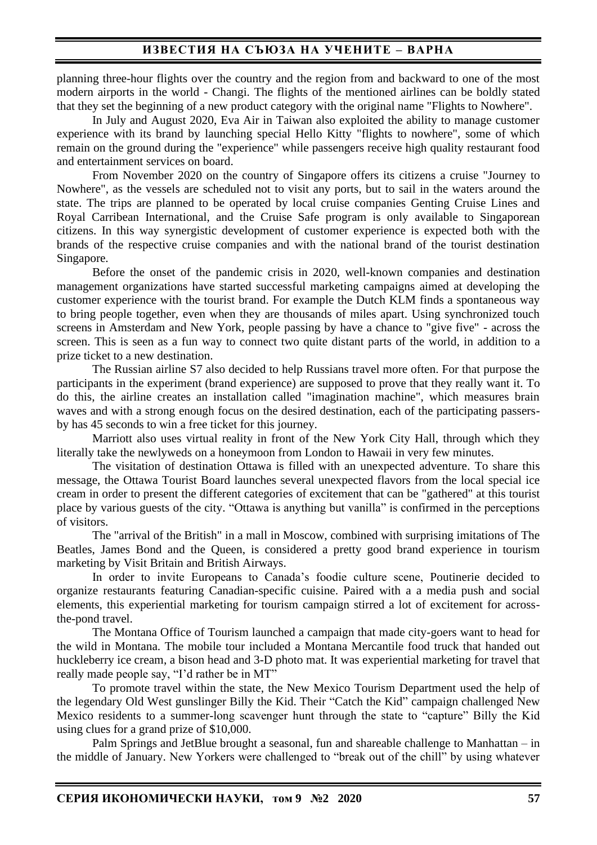planning three-hour flights over the country and the region from and backward to one of the most modern airports in the world - Changi. The flights of the mentioned airlines can be boldly stated that they set the beginning of a new product category with the original name "Flights to Nowhere".

In July and August 2020, Eva Air in Taiwan also exploited the ability to manage customer experience with its brand by launching special Hello Kitty "flights to nowhere", some of which remain on the ground during the "experience" while passengers receive high quality restaurant food and entertainment services on board.

From November 2020 on the country of Singapore offers its citizens a cruise "Journey to Nowhere", as the vessels are scheduled not to visit any ports, but to sail in the waters around the state. The trips are planned to be operated by local cruise companies Genting Cruise Lines and Royal Carribean International, and the Cruise Safe program is only available to Singaporean citizens. In this way synergistic development of customer experience is expected both with the brands of the respective cruise companies and with the national brand of the tourist destination Singapore.

Before the onset of the pandemic crisis in 2020, well-known companies and destination management organizations have started successful marketing campaigns aimed at developing the customer experience with the tourist brand. For example the Dutch KLM finds a spontaneous way to bring people together, even when they are thousands of miles apart. Using synchronized touch screens in Amsterdam and New York, people passing by have a chance to "give five" - across the screen. This is seen as a fun way to connect two quite distant parts of the world, in addition to a prize ticket to a new destination.

The Russian airline S7 also decided to help Russians travel more often. For that purpose the participants in the experiment (brand experience) are supposed to prove that they really want it. To do this, the airline creates an installation called "imagination machine", which measures brain waves and with a strong enough focus on the desired destination, each of the participating passersby has 45 seconds to win a free ticket for this journey.

Marriott also uses virtual reality in front of the New York City Hall, through which they literally take the newlyweds on a honeymoon from London to Hawaii in very few minutes.

The visitation of destination Ottawa is filled with an unexpected adventure. To share this message, the Ottawa Tourist Board launches several unexpected flavors from the local special ice cream in order to present the different categories of excitement that can be "gathered" at this tourist place by various guests of the city. "Ottawa is anything but vanilla" is confirmed in the perceptions of visitors.

The "arrival of the British" in a mall in Moscow, combined with surprising imitations of The Beatles, James Bond and the Queen, is considered a pretty good brand experience in tourism marketing by Visit Britain and British Airways.

In order to invite Europeans to Canada's foodie culture scene, Poutinerie decided to organize restaurants featuring Canadian-specific cuisine. Paired with a a media push and social elements, this experiential marketing for tourism campaign stirred a lot of excitement for acrossthe-pond travel.

The Montana Office of Tourism launched a campaign that made city-goers want to head for the wild in Montana. The [mobile tour](https://diousa.com/work/montana/) included a Montana Mercantile food truck that handed out huckleberry ice cream, a bison head and 3-D photo mat. It was experiential marketing for travel that really made people say, "I'd rather be in MT"

To promote travel within the state, the New Mexico Tourism Department used the help of the legendary Old West gunslinger Billy the Kid. Their "Catch the Kid" campaign challenged New Mexico residents to a summer-long scavenger hunt through the state to "capture" Billy the Kid using clues for a grand prize of \$10,000.

Palm Springs and JetBlue brought a seasonal, fun and shareable challenge to Manhattan – in the middle of January. New Yorkers were challenged to "break out of the chill" by using whatever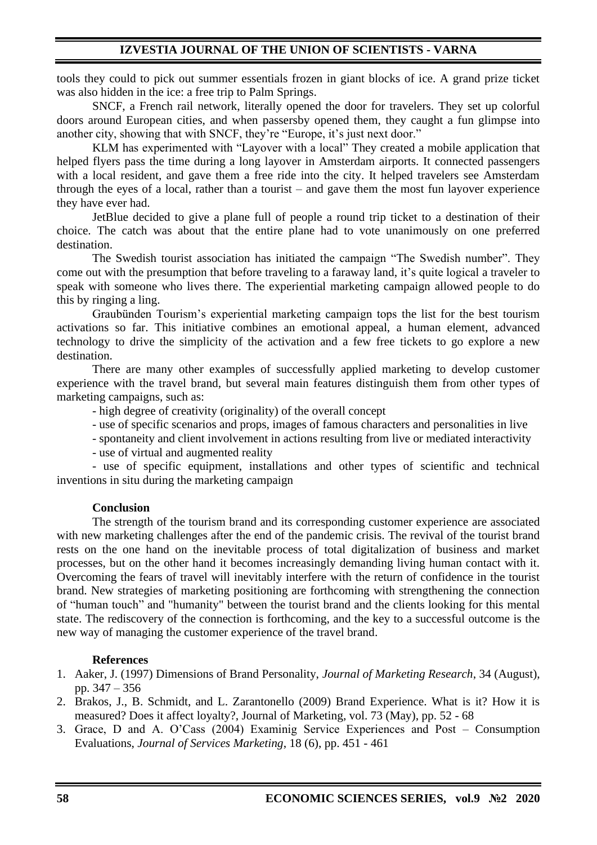tools they could to pick out summer essentials frozen in giant blocks of ice. A grand prize ticket was also hidden in the ice: a free trip to Palm Springs.

SNCF, a French rail network, literally opened the door for travelers. They set up colorful doors around European cities, and when passersby opened them, they caught a fun glimpse into another city, showing that with SNCF, they're "Europe, it's just next door."

KLM has experimented with "Layover with a local" They created a mobile application that helped flyers pass the time during a long layover in Amsterdam airports. It connected passengers with a local resident, and gave them a free ride into the city. It helped travelers see Amsterdam through the eyes of a local, rather than a tourist – and gave them the most fun layover experience they have ever had.

JetBlue decided to give a plane full of people a round trip ticket to a destination of their choice. The catch was about that the entire plane had to vote unanimously on one preferred destination.

The Swedish tourist association has initiated the campaign "The Swedish number". They come out with the presumption that before traveling to a faraway land, it's quite logical a traveler to speak with someone who lives there. The experiential marketing campaign allowed people to do this by ringing a ling.

Graubünden Tourism's experiential marketing campaign tops the list for the best tourism activations so far. This initiative combines an emotional appeal, a human element, advanced technology to drive the simplicity of the activation and a few free tickets to go explore a new destination.

There are many other examples of successfully applied marketing to develop customer experience with the travel brand, but several main features distinguish them from other types of marketing campaigns, such as:

- high degree of creativity (originality) of the overall concept

- use of specific scenarios and props, images of famous characters and personalities in live

- spontaneity and client involvement in actions resulting from live or mediated interactivity

- use of virtual and augmented reality

- use of specific equipment, installations and other types of scientific and technical inventions in situ during the marketing campaign

## **Conclusion**

The strength of the tourism brand and its corresponding customer experience are associated with new marketing challenges after the end of the pandemic crisis. The revival of the tourist brand rests on the one hand on the inevitable process of total digitalization of business and market processes, but on the other hand it becomes increasingly demanding living human contact with it. Overcoming the fears of travel will inevitably interfere with the return of confidence in the tourist brand. New strategies of marketing positioning are forthcoming with strengthening the connection of "human touch" and "humanity" between the tourist brand and the clients looking for this mental state. The rediscovery of the connection is forthcoming, and the key to a successful outcome is the new way of managing the customer experience of the travel brand.

## **References**

- 1. Aaker, J. (1997) Dimensions of Brand Personality, *Journal of Marketing Research*, 34 (August), pp. 347 – 356
- 2. Brakos, J., B. Schmidt, and L. Zarantonello (2009) Brand Experience. What is it? How it is measured? Does it affect loyalty?, Journal of Marketing, vol. 73 (May), pp. 52 - 68
- 3. Grace, D and A. O'Cass (2004) Examinig Service Experiences and Post Consumption Evaluations, *Journal of Services Marketing*, 18 (6), pp. 451 - 461